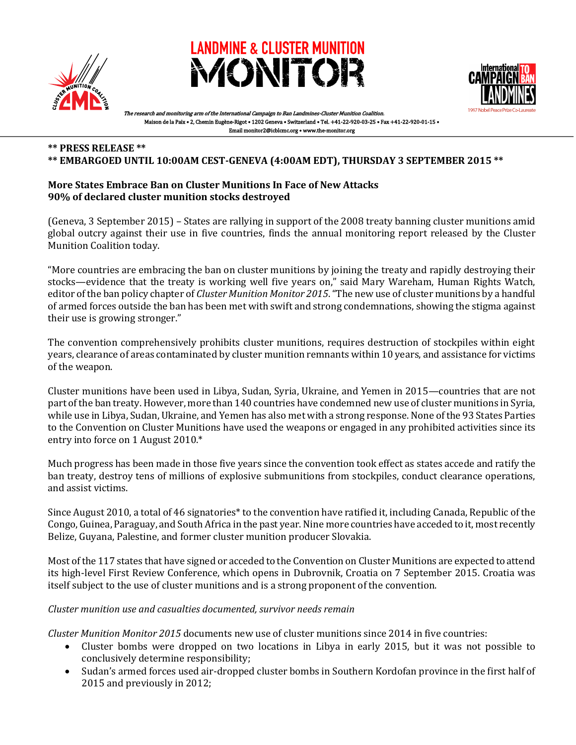





arch and monitoring arm of the International Campaign to Ban Landmines-Cluster Munition Coalition. Maison de la Paix • 2, Chemin Eugène-Rigot • 1202 Geneva • Switzerland • Tel. +41-22-920-03-25 • Fax +41-22-920-01-15 • Email monitor2@icblcmc.org • www.the-monitor.org

#### **\*\* PRESS RELEASE \*\***

#### **\*\* EMBARGOED UNTIL 10:00AM CEST-GENEVA (4:00AM EDT), THURSDAY 3 SEPTEMBER 2015 \*\***

### **More States Embrace Ban on Cluster Munitions In Face of New Attacks 90% of declared cluster munition stocks destroyed**

(Geneva, 3 September 2015) – States are rallying in support of the 2008 treaty banning cluster munitions amid global outcry against their use in five countries, finds the annual monitoring report released by the Cluster Munition Coalition today.

"More countries are embracing the ban on cluster munitions by joining the treaty and rapidly destroying their stocks—evidence that the treaty is working well five years on," said Mary Wareham, Human Rights Watch, editor of the ban policy chapter of *Cluster Munition Monitor 2015*. "The new use of cluster munitions by a handful of armed forces outside the ban has been met with swift and strong condemnations, showing the stigma against their use is growing stronger."

The convention comprehensively prohibits cluster munitions, requires destruction of stockpiles within eight years, clearance of areas contaminated by cluster munition remnants within 10 years, and assistance for victims of the weapon.

Cluster munitions have been used in Libya, Sudan, Syria, Ukraine, and Yemen in 2015—countries that are not part of the ban treaty. However, more than 140 countries have condemned new use of cluster munitions in Syria, while use in Libya, Sudan, Ukraine, and Yemen has also met with a strong response. None of the 93 States Parties to the Convention on Cluster Munitions have used the weapons or engaged in any prohibited activities since its entry into force on 1 August 2010.\*

Much progress has been made in those five years since the convention took effect as states accede and ratify the ban treaty, destroy tens of millions of explosive submunitions from stockpiles, conduct clearance operations, and assist victims.

Since August 2010, a total of 46 signatories\* to the convention have ratified it, including Canada, Republic of the Congo, Guinea, Paraguay, and South Africa in the past year. Nine more countries have acceded to it, most recently Belize, Guyana, Palestine, and former cluster munition producer Slovakia.

Most of the 117 states that have signed or acceded to the Convention on Cluster Munitions are expected to attend its high-level First Review Conference, which opens in Dubrovnik, Croatia on 7 September 2015. Croatia was itself subject to the use of cluster munitions and is a strong proponent of the convention.

#### *Cluster munition use and casualties documented, survivor needs remain*

*Cluster Munition Monitor 2015* documents new use of cluster munitions since 2014 in five countries:

- Cluster bombs were dropped on two locations in Libya in early 2015, but it was not possible to conclusively determine responsibility;
- Sudan's armed forces used air-dropped cluster bombs in Southern Kordofan province in the first half of 2015 and previously in 2012;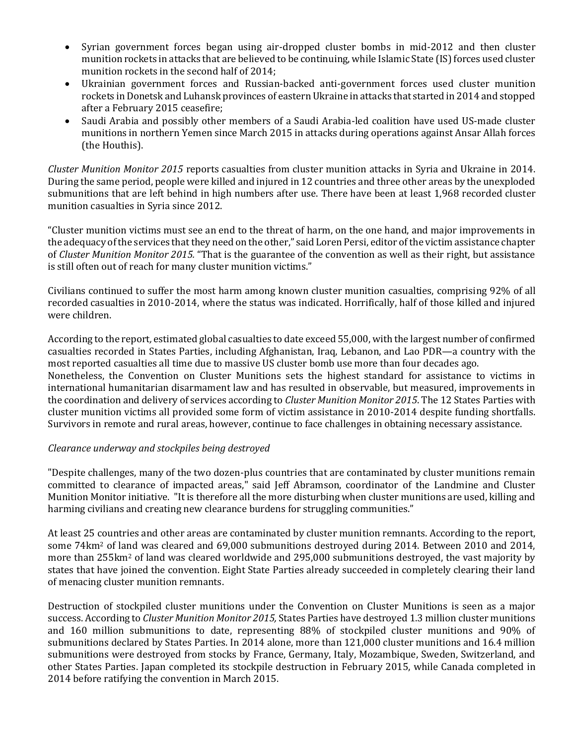- Syrian government forces began using air-dropped cluster bombs in mid-2012 and then cluster munition rockets in attacks that are believed to be continuing, while Islamic State (IS) forces used cluster munition rockets in the second half of 2014;
- Ukrainian government forces and Russian-backed anti-government forces used cluster munition rockets in Donetsk and Luhansk provinces of eastern Ukraine in attacks that started in 2014 and stopped after a February 2015 ceasefire;
- Saudi Arabia and possibly other members of a Saudi Arabia-led coalition have used US-made cluster munitions in northern Yemen since March 2015 in attacks during operations against Ansar Allah forces (the Houthis).

*Cluster Munition Monitor 2015* reports casualties from cluster munition attacks in Syria and Ukraine in 2014. During the same period, people were killed and injured in 12 countries and three other areas by the unexploded submunitions that are left behind in high numbers after use. There have been at least 1,968 recorded cluster munition casualties in Syria since 2012.

"Cluster munition victims must see an end to the threat of harm, on the one hand, and major improvements in the adequacy of the services that they need on the other," said Loren Persi, editor of the victim assistance chapter of *Cluster Munition Monitor 2015.* "That is the guarantee of the convention as well as their right, but assistance is still often out of reach for many cluster munition victims."

Civilians continued to suffer the most harm among known cluster munition casualties, comprising 92% of all recorded casualties in 2010-2014, where the status was indicated. Horrifically, half of those killed and injured were children.

According to the report*,* estimated global casualties to date exceed 55,000, with the largest number of confirmed casualties recorded in States Parties, including Afghanistan, Iraq, Lebanon, and Lao PDR—a country with the most reported casualties all time due to massive US cluster bomb use more than four decades ago. Nonetheless, the Convention on Cluster Munitions sets the highest standard for assistance to victims in international humanitarian disarmament law and has resulted in observable, but measured, improvements in the coordination and delivery of services according to *Cluster Munition Monitor 2015*. The 12 States Parties with cluster munition victims all provided some form of victim assistance in 2010-2014 despite funding shortfalls. Survivors in remote and rural areas, however, continue to face challenges in obtaining necessary assistance.

## *Clearance underway and stockpiles being destroyed*

"Despite challenges, many of the two dozen-plus countries that are contaminated by cluster munitions remain committed to clearance of impacted areas," said Jeff Abramson, coordinator of the Landmine and Cluster Munition Monitor initiative. "It is therefore all the more disturbing when cluster munitions are used, killing and harming civilians and creating new clearance burdens for struggling communities."

At least 25 countries and other areas are contaminated by cluster munition remnants. According to the report, some 74km<sup>2</sup> of land was cleared and 69,000 submunitions destroyed during 2014. Between 2010 and 2014, more than 255km<sup>2</sup> of land was cleared worldwide and 295,000 submunitions destroyed, the vast majority by states that have joined the convention. Eight State Parties already succeeded in completely clearing their land of menacing cluster munition remnants.

Destruction of stockpiled cluster munitions under the Convention on Cluster Munitions is seen as a major success. According to *Cluster Munition Monitor 2015,* States Parties have destroyed 1.3 million cluster munitions and 160 million submunitions to date, representing 88% of stockpiled cluster munitions and 90% of submunitions declared by States Parties. In 2014 alone, more than 121,000 cluster munitions and 16.4 million submunitions were destroyed from stocks by France, Germany, Italy, Mozambique, Sweden, Switzerland, and other States Parties. Japan completed its stockpile destruction in February 2015, while Canada completed in 2014 before ratifying the convention in March 2015.